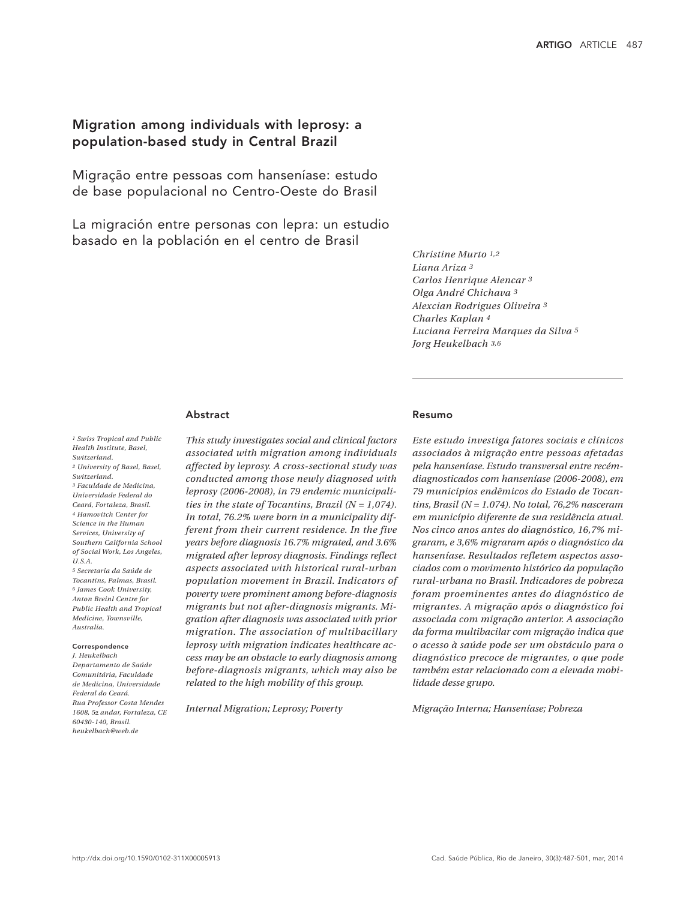# Migration among individuals with leprosy: a population-based study in Central Brazil

Migração entre pessoas com hanseníase: estudo de base populacional no Centro-Oeste do Brasil

La migración entre personas con lepra: un estudio basado en la población en el centro de Brasil

> *Christine Murto 1,2 Liana Ariza 3 Carlos Henrique Alencar 3 Olga André Chichava 3 Alexcian Rodrigues Oliveira 3 Charles Kaplan 4 Luciana Ferreira Marques da Silva 5 Jorg Heukelbach 3,6*

## Abstract

*1 Swiss Tropical and Public Health Institute, Basel, Switzerland.*

*2 University of Basel, Basel, Switzerland.*

*3 Faculdade de Medicina, Universidade Federal do Ceará, Fortaleza, Brasil. 4 Hamovitch Center for Science in the Human Services, University of Southern California School of Social Work, Los Angeles, U.S.A.*

*5 Secretaria da Saúde de Tocantins, Palmas, Brasil. 6 James Cook University, Anton Breinl Centre for Public Health and Tropical Medicine, Townsville, Australia.*

#### Correspondence

*J. Heukelbach Departamento de Saúde Comunitária, Faculdade de Medicina, Universidade Federal do Ceará. Rua Professor Costa Mendes 1608, 5o andar, Fortaleza, CE 60430-140, Brasil. heukelbach@web.de*

*This study investigates social and clinical factors associated with migration among individuals affected by leprosy. A cross-sectional study was conducted among those newly diagnosed with leprosy (2006-2008), in 79 endemic municipalities in the state of Tocantins, Brazil (N = 1,074). In total, 76.2% were born in a municipality different from their current residence. In the five years before diagnosis 16.7% migrated, and 3.6% migrated after leprosy diagnosis. Findings reflect aspects associated with historical rural-urban population movement in Brazil. Indicators of poverty were prominent among before-diagnosis migrants but not after-diagnosis migrants. Migration after diagnosis was associated with prior migration. The association of multibacillary leprosy with migration indicates healthcare access may be an obstacle to early diagnosis among before-diagnosis migrants, which may also be related to the high mobility of this group.*

*Internal Migration; Leprosy; Poverty*

#### Resumo

*Este estudo investiga fatores sociais e clínicos associados à migração entre pessoas afetadas pela hanseníase. Estudo transversal entre recémdiagnosticados com hanseníase (2006-2008), em 79 municípios endêmicos do Estado de Tocantins, Brasil (N = 1.074). No total, 76,2% nasceram em município diferente de sua residência atual. Nos cinco anos antes do diagnóstico, 16,7% migraram, e 3,6% migraram após o diagnóstico da hanseníase. Resultados refletem aspectos associados com o movimento histórico da população rural-urbana no Brasil. Indicadores de pobreza foram proeminentes antes do diagnóstico de migrantes. A migração após o diagnóstico foi associada com migração anterior. A associação da forma multibacilar com migração indica que o acesso à saúde pode ser um obstáculo para o diagnóstico precoce de migrantes, o que pode também estar relacionado com a elevada mobilidade desse grupo.*

*Migração Interna; Hanseníase; Pobreza*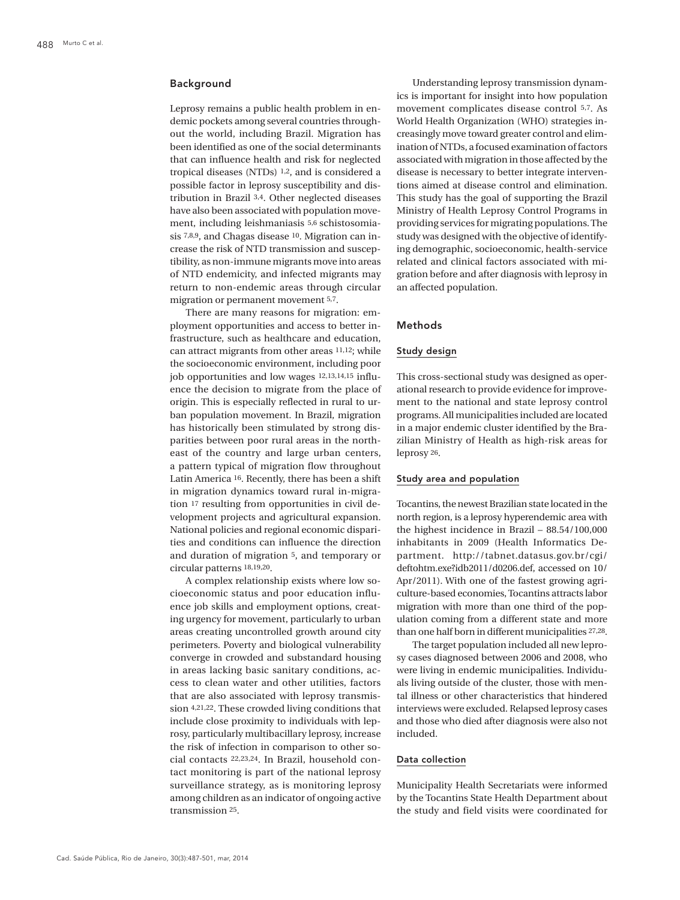## Background

Leprosy remains a public health problem in endemic pockets among several countries throughout the world, including Brazil. Migration has been identified as one of the social determinants that can influence health and risk for neglected tropical diseases (NTDs) 1,2, and is considered a possible factor in leprosy susceptibility and distribution in Brazil 3,4. Other neglected diseases have also been associated with population movement, including leishmaniasis 5,6 schistosomiasis 7,8,9, and Chagas disease 10. Migration can increase the risk of NTD transmission and susceptibility, as non-immune migrants move into areas of NTD endemicity, and infected migrants may return to non-endemic areas through circular migration or permanent movement 5,7.

There are many reasons for migration: employment opportunities and access to better infrastructure, such as healthcare and education, can attract migrants from other areas 11,12; while the socioeconomic environment, including poor job opportunities and low wages 12,13,14,15 influence the decision to migrate from the place of origin. This is especially reflected in rural to urban population movement. In Brazil, migration has historically been stimulated by strong disparities between poor rural areas in the northeast of the country and large urban centers, a pattern typical of migration flow throughout Latin America 16. Recently, there has been a shift in migration dynamics toward rural in-migration 17 resulting from opportunities in civil development projects and agricultural expansion. National policies and regional economic disparities and conditions can influence the direction and duration of migration 5, and temporary or circular patterns 18,19,20.

A complex relationship exists where low socioeconomic status and poor education influence job skills and employment options, creating urgency for movement, particularly to urban areas creating uncontrolled growth around city perimeters. Poverty and biological vulnerability converge in crowded and substandard housing in areas lacking basic sanitary conditions, access to clean water and other utilities, factors that are also associated with leprosy transmission 4,21,22. These crowded living conditions that include close proximity to individuals with leprosy, particularly multibacillary leprosy, increase the risk of infection in comparison to other social contacts 22,23,24. In Brazil, household contact monitoring is part of the national leprosy surveillance strategy, as is monitoring leprosy among children as an indicator of ongoing active transmission 25.

Understanding leprosy transmission dynamics is important for insight into how population movement complicates disease control 5,7. As World Health Organization (WHO) strategies increasingly move toward greater control and elimination of NTDs, a focused examination of factors associated with migration in those affected by the disease is necessary to better integrate interventions aimed at disease control and elimination. This study has the goal of supporting the Brazil Ministry of Health Leprosy Control Programs in providing services for migrating populations. The study was designed with the objective of identifying demographic, socioeconomic, health-service related and clinical factors associated with migration before and after diagnosis with leprosy in an affected population.

## Methods

## Study design

This cross-sectional study was designed as operational research to provide evidence for improvement to the national and state leprosy control programs. All municipalities included are located in a major endemic cluster identified by the Brazilian Ministry of Health as high-risk areas for leprosy 26.

## Study area and population

Tocantins, the newest Brazilian state located in the north region, is a leprosy hyperendemic area with the highest incidence in Brazil – 88.54/100,000 inhabitants in 2009 (Health Informatics Department. http://tabnet.datasus.gov.br/cgi/ deftohtm.exe?idb2011/d0206.def, accessed on 10/ Apr/2011). With one of the fastest growing agriculture-based economies, Tocantins attracts labor migration with more than one third of the population coming from a different state and more than one half born in different municipalities 27,28.

The target population included all new leprosy cases diagnosed between 2006 and 2008, who were living in endemic municipalities. Individuals living outside of the cluster, those with mental illness or other characteristics that hindered interviews were excluded. Relapsed leprosy cases and those who died after diagnosis were also not included.

## Data collection

Municipality Health Secretariats were informed by the Tocantins State Health Department about the study and field visits were coordinated for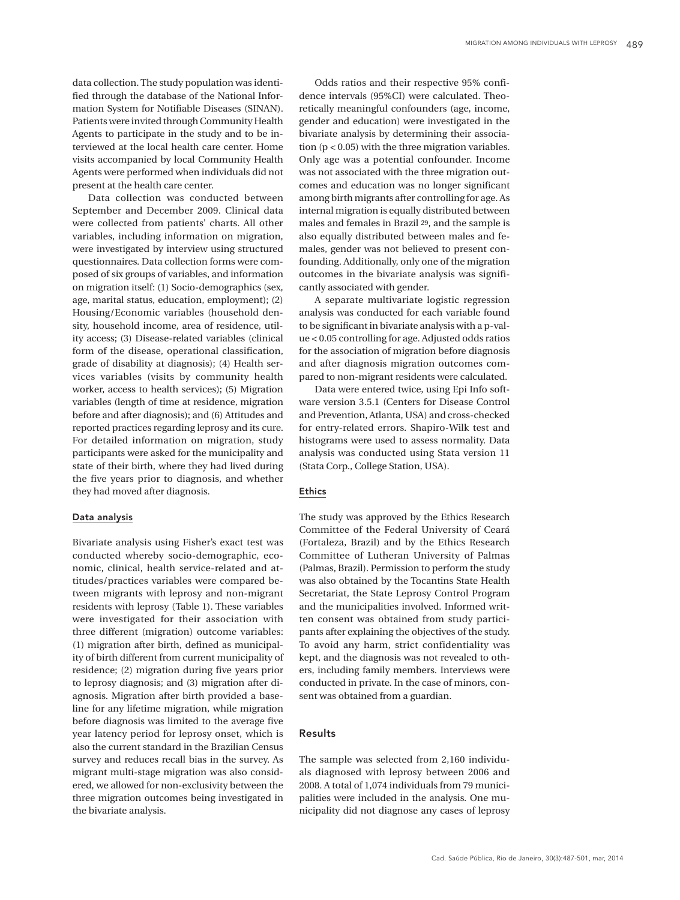data collection. The study population was identified through the database of the National Information System for Notifiable Diseases (SINAN). Patients were invited through Community Health Agents to participate in the study and to be interviewed at the local health care center. Home visits accompanied by local Community Health Agents were performed when individuals did not present at the health care center.

Data collection was conducted between September and December 2009. Clinical data were collected from patients' charts. All other variables, including information on migration, were investigated by interview using structured questionnaires. Data collection forms were composed of six groups of variables, and information on migration itself: (1) Socio-demographics (sex, age, marital status, education, employment); (2) Housing/Economic variables (household density, household income, area of residence, utility access; (3) Disease-related variables (clinical form of the disease, operational classification, grade of disability at diagnosis); (4) Health services variables (visits by community health worker, access to health services); (5) Migration variables (length of time at residence, migration before and after diagnosis); and (6) Attitudes and reported practices regarding leprosy and its cure. For detailed information on migration, study participants were asked for the municipality and state of their birth, where they had lived during the five years prior to diagnosis, and whether they had moved after diagnosis.

## Data analysis

Bivariate analysis using Fisher's exact test was conducted whereby socio-demographic, economic, clinical, health service-related and attitudes/practices variables were compared between migrants with leprosy and non-migrant residents with leprosy (Table 1). These variables were investigated for their association with three different (migration) outcome variables: (1) migration after birth, defined as municipality of birth different from current municipality of residence; (2) migration during five years prior to leprosy diagnosis; and (3) migration after diagnosis. Migration after birth provided a baseline for any lifetime migration, while migration before diagnosis was limited to the average five year latency period for leprosy onset, which is also the current standard in the Brazilian Census survey and reduces recall bias in the survey. As migrant multi-stage migration was also considered, we allowed for non-exclusivity between the three migration outcomes being investigated in the bivariate analysis.

Odds ratios and their respective 95% confidence intervals (95%CI) were calculated. Theoretically meaningful confounders (age, income, gender and education) were investigated in the bivariate analysis by determining their association (p < 0.05) with the three migration variables. Only age was a potential confounder. Income was not associated with the three migration outcomes and education was no longer significant among birth migrants after controlling for age. As internal migration is equally distributed between males and females in Brazil 29, and the sample is also equally distributed between males and females, gender was not believed to present confounding. Additionally, only one of the migration outcomes in the bivariate analysis was significantly associated with gender.

A separate multivariate logistic regression analysis was conducted for each variable found to be significant in bivariate analysis with a p-value < 0.05 controlling for age. Adjusted odds ratios for the association of migration before diagnosis and after diagnosis migration outcomes compared to non-migrant residents were calculated.

Data were entered twice, using Epi Info software version 3.5.1 (Centers for Disease Control and Prevention, Atlanta, USA) and cross-checked for entry-related errors. Shapiro-Wilk test and histograms were used to assess normality. Data analysis was conducted using Stata version 11 (Stata Corp., College Station, USA).

### Ethics

The study was approved by the Ethics Research Committee of the Federal University of Ceará (Fortaleza, Brazil) and by the Ethics Research Committee of Lutheran University of Palmas (Palmas, Brazil). Permission to perform the study was also obtained by the Tocantins State Health Secretariat, the State Leprosy Control Program and the municipalities involved. Informed written consent was obtained from study participants after explaining the objectives of the study. To avoid any harm, strict confidentiality was kept, and the diagnosis was not revealed to others, including family members. Interviews were conducted in private. In the case of minors, consent was obtained from a guardian.

### Results

The sample was selected from 2,160 individuals diagnosed with leprosy between 2006 and 2008. A total of 1,074 individuals from 79 municipalities were included in the analysis. One municipality did not diagnose any cases of leprosy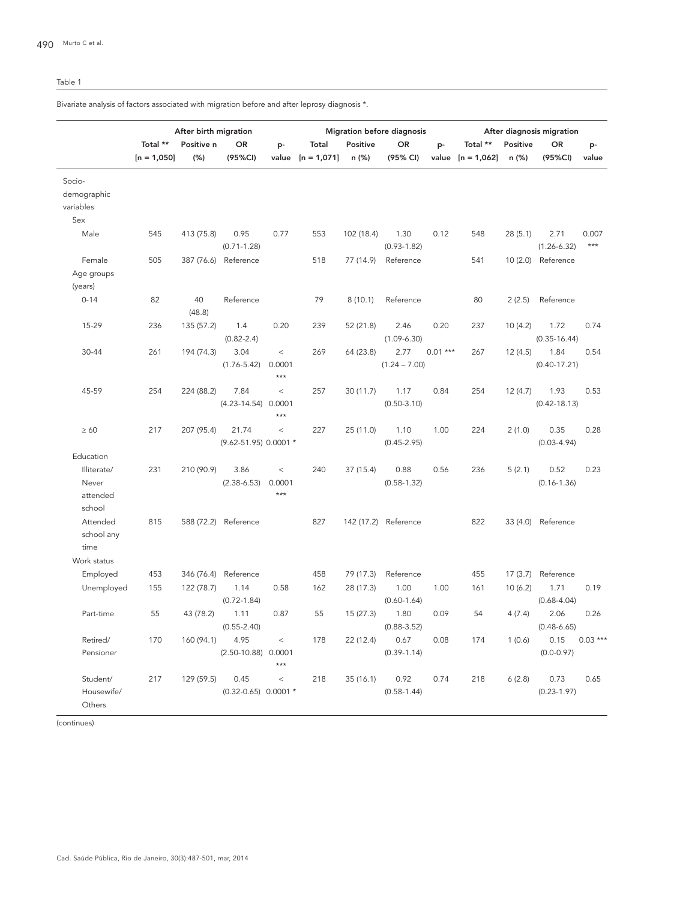# Table 1

Bivariate analysis of factors associated with migration before and after leprosy diagnosis \*.

|             |               | After birth migration |                           |                 | Migration before diagnosis |            |                         |           | After diagnosis migration |          |                          |           |
|-------------|---------------|-----------------------|---------------------------|-----------------|----------------------------|------------|-------------------------|-----------|---------------------------|----------|--------------------------|-----------|
|             | Total **      | Positive n<br>OR      |                           | p-              | Total                      | Positive   | OR                      | p-        | Total **                  | Positive | <b>OR</b>                | p-        |
|             | $[n = 1,050]$ | (% )                  | (95%CI)                   | value           | $[n = 1,071]$              | n (%)      | (95% CI)                |           | value $[n = 1, 062]$      | n (%)    | (95%CI)                  | value     |
| Socio-      |               |                       |                           |                 |                            |            |                         |           |                           |          |                          |           |
| demographic |               |                       |                           |                 |                            |            |                         |           |                           |          |                          |           |
| variables   |               |                       |                           |                 |                            |            |                         |           |                           |          |                          |           |
| Sex         |               |                       |                           |                 |                            |            |                         |           |                           |          |                          |           |
| Male        | 545           | 413 (75.8)            | 0.95                      | 0.77            | 553                        | 102 (18.4) | 1.30                    | 0.12      | 548                       | 28(5.1)  | 2.71                     | 0.007     |
|             |               |                       | $(0.71 - 1.28)$           |                 |                            |            | $(0.93 - 1.82)$         |           |                           |          | $(1.26 - 6.32)$          | $***$     |
| Female      | 505           |                       | 387 (76.6) Reference      |                 | 518                        | 77 (14.9)  | Reference               |           | 541                       | 10(2.0)  | Reference                |           |
| Age groups  |               |                       |                           |                 |                            |            |                         |           |                           |          |                          |           |
| (years)     |               |                       |                           |                 |                            |            |                         |           |                           |          |                          |           |
| $0 - 14$    | 82            | 40                    | Reference                 |                 | 79                         | 8(10.1)    | Reference               |           | 80                        | 2(2.5)   | Reference                |           |
|             |               | (48.8)                |                           |                 |                            |            |                         |           |                           |          |                          |           |
| 15-29       | 236           | 135 (57.2)            | 1.4                       | 0.20            | 239                        | 52 (21.8)  | 2.46                    | 0.20      | 237                       | 10 (4.2) | 1.72                     | 0.74      |
|             |               |                       | $(0.82 - 2.4)$            |                 |                            |            | $(1.09 - 6.30)$         |           |                           |          | $(0.35 - 16.44)$         |           |
| 30-44       | 261           | 194 (74.3)            | 3.04                      | $\,<$           | 269                        | 64 (23.8)  | 2.77                    | $0.01***$ | 267                       | 12(4.5)  | 1.84                     | 0.54      |
|             |               |                       | $(1.76 - 5.42)$           | 0.0001<br>$***$ |                            |            | $(1.24 - 7.00)$         |           |                           |          | $(0.40 - 17.21)$         |           |
| 45-59       | 254           |                       | 7.84                      | $\,<$           | 257                        |            |                         | 0.84      | 254                       |          |                          | 0.53      |
|             |               | 224 (88.2)            | $(4.23-14.54)$ 0.0001     |                 |                            | 30(11.7)   | 1.17<br>$(0.50 - 3.10)$ |           |                           | 12(4.7)  | 1.93<br>$(0.42 - 18.13)$ |           |
|             |               |                       |                           | $***$           |                            |            |                         |           |                           |          |                          |           |
| $\geq 60$   | 217           | 207 (95.4)            | 21.74                     | $\,<$           | 227                        | 25 (11.0)  | 1.10                    | 1.00      | 224                       | 2(1.0)   | 0.35                     | 0.28      |
|             |               |                       | $(9.62 - 51.95)$ 0.0001 * |                 |                            |            | $(0.45 - 2.95)$         |           |                           |          | $(0.03 - 4.94)$          |           |
| Education   |               |                       |                           |                 |                            |            |                         |           |                           |          |                          |           |
| Illiterate/ | 231           | 210 (90.9)            | 3.86                      | $\,<$           | 240                        | 37 (15.4)  | 0.88                    | 0.56      | 236                       | 5(2.1)   | 0.52                     | 0.23      |
| Never       |               |                       | $(2.38 - 6.53)$           | 0.0001          |                            |            | $(0.58 - 1.32)$         |           |                           |          | $(0.16 - 1.36)$          |           |
| attended    |               |                       |                           | $***$           |                            |            |                         |           |                           |          |                          |           |
| school      |               |                       |                           |                 |                            |            |                         |           |                           |          |                          |           |
| Attended    | 815           |                       | 588 (72.2) Reference      |                 | 827                        |            | 142 (17.2) Reference    |           | 822                       |          | 33 (4.0) Reference       |           |
| school any  |               |                       |                           |                 |                            |            |                         |           |                           |          |                          |           |
| time        |               |                       |                           |                 |                            |            |                         |           |                           |          |                          |           |
| Work status |               |                       |                           |                 |                            |            |                         |           |                           |          |                          |           |
| Employed    | 453           | 346 (76.4)            | Reference                 |                 | 458                        | 79 (17.3)  | Reference               |           | 455                       | 17(3.7)  | Reference                |           |
| Unemployed  | 155           | 122 (78.7)            | 1.14                      | 0.58            | 162                        | 28 (17.3)  | 1.00                    | 1.00      | 161                       | 10(6.2)  | 1.71                     | 0.19      |
|             |               |                       | $(0.72 - 1.84)$           |                 |                            |            | $(0.60 - 1.64)$         |           |                           |          | $(0.68 - 4.04)$          |           |
| Part-time   | 55            |                       | 43 (78.2) 1.11 0.87       |                 | 55                         |            | 15 (27.3) 1.80          | 0.09      | 54                        |          | 4 (7.4) 2.06 0.26        |           |
|             |               |                       | $(0.55 - 2.40)$           |                 |                            |            | $(0.88 - 3.52)$         |           |                           |          | $(0.48 - 6.65)$          |           |
| Retired/    | 170           | 160 (94.1)            | 4.95                      | $\,<$           | 178                        | 22 (12.4)  | 0.67                    | 0.08      | 174                       | 1(0.6)   | 0.15                     | $0.03***$ |
| Pensioner   |               |                       | $(2.50-10.88)$ 0.0001     | $***$           |                            |            | $(0.39 - 1.14)$         |           |                           |          | $(0.0 - 0.97)$           |           |
| Student/    | 217           | 129 (59.5)            | 0.45                      | $\,<$           | 218                        | 35(16.1)   | 0.92                    | 0.74      | 218                       | 6(2.8)   | 0.73                     | 0.65      |
| Housewife/  |               |                       | $(0.32 - 0.65)$ 0.0001 *  |                 |                            |            | $(0.58 - 1.44)$         |           |                           |          | $(0.23 - 1.97)$          |           |
| Others      |               |                       |                           |                 |                            |            |                         |           |                           |          |                          |           |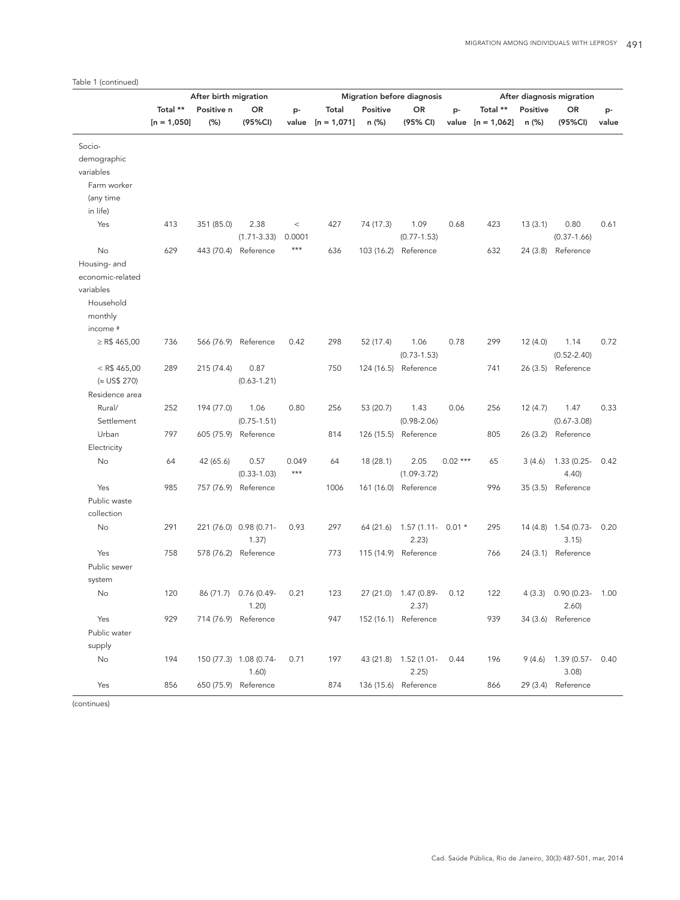|                      | After birth migration        |            |                                 |        | Migration before diagnosis |            |                                |           | After diagnosis migration |          |                                  |       |  |
|----------------------|------------------------------|------------|---------------------------------|--------|----------------------------|------------|--------------------------------|-----------|---------------------------|----------|----------------------------------|-------|--|
|                      | Total **<br>Positive n<br>OR |            |                                 | p-     | Total                      | Positive   | OR                             | p-        | Total **                  | Positive | OR                               | p-    |  |
|                      | $[n = 1,050]$                | (% )       | (95%CI)                         | value  | $[n = 1,071]$              | n (%)      | (95% CI)                       | value     | $[n = 1,062]$             | n (%)    | (95%CI)                          | value |  |
| Socio-               |                              |            |                                 |        |                            |            |                                |           |                           |          |                                  |       |  |
| demographic          |                              |            |                                 |        |                            |            |                                |           |                           |          |                                  |       |  |
| variables            |                              |            |                                 |        |                            |            |                                |           |                           |          |                                  |       |  |
| Farm worker          |                              |            |                                 |        |                            |            |                                |           |                           |          |                                  |       |  |
| (any time            |                              |            |                                 |        |                            |            |                                |           |                           |          |                                  |       |  |
| in life)             |                              |            |                                 |        |                            |            |                                |           |                           |          |                                  |       |  |
| Yes                  | 413                          | 351 (85.0) | 2.38                            | $\,<$  | 427                        | 74 (17.3)  | 1.09                           | 0.68      | 423                       | 13(3.1)  | 0.80                             | 0.61  |  |
|                      |                              |            | $(1.71 - 3.33)$                 | 0.0001 |                            |            | $(0.77 - 1.53)$                |           |                           |          | $(0.37 - 1.66)$                  |       |  |
| No                   | 629                          |            | 443 (70.4) Reference            | $***$  | 636                        | 103(16.2)  | Reference                      |           | 632                       | 24(3.8)  | Reference                        |       |  |
| Housing- and         |                              |            |                                 |        |                            |            |                                |           |                           |          |                                  |       |  |
| economic-related     |                              |            |                                 |        |                            |            |                                |           |                           |          |                                  |       |  |
| variables            |                              |            |                                 |        |                            |            |                                |           |                           |          |                                  |       |  |
| Household<br>monthly |                              |            |                                 |        |                            |            |                                |           |                           |          |                                  |       |  |
| income #             |                              |            |                                 |        |                            |            |                                |           |                           |          |                                  |       |  |
|                      | 736                          |            | 566 (76.9) Reference            |        | 298                        |            | 1.06                           | 0.78      | 299                       |          |                                  | 0.72  |  |
| $\ge$ R\$ 465,00     |                              |            |                                 | 0.42   |                            | 52 (17.4)  | $(0.73 - 1.53)$                |           |                           | 12(4.0)  | 1.14<br>$(0.52 - 2.40)$          |       |  |
| $<$ R\$ 465,00       | 289                          | 215 (74.4) | 0.87                            |        | 750                        |            | 124 (16.5) Reference           |           | 741                       | 26(3.5)  | Reference                        |       |  |
| $(*$ US\$ 270)       |                              |            | $(0.63 - 1.21)$                 |        |                            |            |                                |           |                           |          |                                  |       |  |
| Residence area       |                              |            |                                 |        |                            |            |                                |           |                           |          |                                  |       |  |
| Rural/               | 252                          | 194 (77.0) | 1.06                            | 0.80   | 256                        | 53 (20.7)  | 1.43                           | 0.06      | 256                       | 12(4.7)  | 1.47                             | 0.33  |  |
| Settlement           |                              |            | $(0.75 - 1.51)$                 |        |                            |            | $(0.98 - 2.06)$                |           |                           |          | $(0.67 - 3.08)$                  |       |  |
| Urban                | 797                          |            | 605 (75.9) Reference            |        | 814                        | 126 (15.5) | Reference                      |           | 805                       | 26(3.2)  | Reference                        |       |  |
| Electricity          |                              |            |                                 |        |                            |            |                                |           |                           |          |                                  |       |  |
| No                   | 64                           | 42 (65.6)  | 0.57                            | 0.049  | 64                         | 18 (28.1)  | 2.05                           | $0.02***$ | 65                        | 3(4.6)   | 1.33 (0.25-                      | 0.42  |  |
|                      |                              |            | $(0.33 - 1.03)$                 | $***$  |                            |            | $(1.09 - 3.72)$                |           |                           |          | 4.40                             |       |  |
| Yes                  | 985                          |            | 757 (76.9) Reference            |        | 1006                       | 161 (16.0) | Reference                      |           | 996                       |          | 35 (3.5) Reference               |       |  |
| Public waste         |                              |            |                                 |        |                            |            |                                |           |                           |          |                                  |       |  |
| collection           |                              |            |                                 |        |                            |            |                                |           |                           |          |                                  |       |  |
| No                   | 291                          |            | 221 (76.0) 0.98 (0.71-          | 0.93   | 297                        | 64 (21.6)  | $1.57(1.11 - 0.01 *$           |           | 295                       |          | 14 (4.8) 1.54 (0.73-             | 0.20  |  |
|                      |                              |            | 1.37)                           |        |                            |            | 2.23)                          |           |                           |          | 3.15                             |       |  |
| Yes                  | 758                          |            | 578 (76.2) Reference            |        | 773                        |            | 115 (14.9) Reference           |           | 766                       |          | 24 (3.1) Reference               |       |  |
| Public sewer         |                              |            |                                 |        |                            |            |                                |           |                           |          |                                  |       |  |
| system               |                              |            |                                 |        |                            |            |                                |           |                           |          |                                  |       |  |
| No                   | 120                          |            | 86 (71.7) 0.76 (0.49-           | 0.21   | 123                        |            | 27 (21.0) 1.47 (0.89-          | 0.12      | 122                       |          | 4 (3.3) 0.90 (0.23- 1.00         |       |  |
|                      |                              |            | 1.20)                           |        |                            |            | 2.37)                          |           |                           |          | 2.60                             |       |  |
| Yes                  | 929                          |            | 714 (76.9) Reference            |        | 947                        |            | 152 (16.1) Reference           |           | 939                       |          | 34 (3.6) Reference               |       |  |
| Public water         |                              |            |                                 |        |                            |            |                                |           |                           |          |                                  |       |  |
| supply               |                              |            |                                 |        |                            |            |                                |           |                           |          |                                  |       |  |
| No                   | 194                          |            | 150 (77.3) 1.08 (0.74-<br>1.60) | 0.71   | 197                        |            | 43 (21.8) 1.52 (1.01-<br>2.25) | 0.44      | 196                       |          | 9 (4.6) 1.39 (0.57- 0.40<br>3.08 |       |  |
| Yes                  | 856                          |            | 650 (75.9) Reference            |        | 874                        |            | 136 (15.6) Reference           |           | 866                       |          | 29 (3.4) Reference               |       |  |

# Table 1 (continued)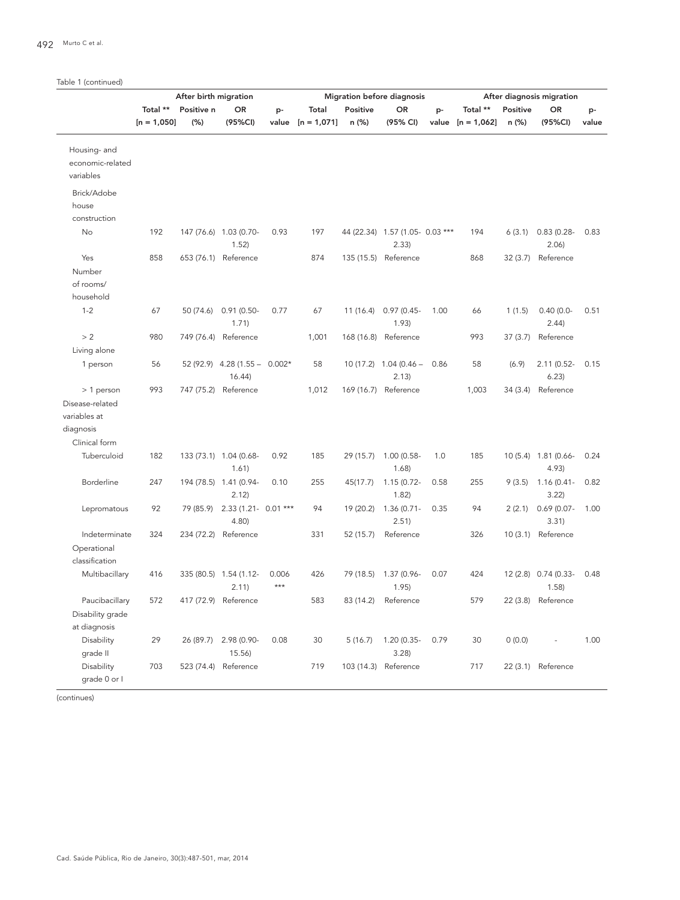Table 1 (continued)

|                                                    | After birth migration |            |                                          |       |                     | Migration before diagnosis | After diagnosis migration                |      |                     |          |                               |       |
|----------------------------------------------------|-----------------------|------------|------------------------------------------|-------|---------------------|----------------------------|------------------------------------------|------|---------------------|----------|-------------------------------|-------|
|                                                    | Total **              | Positive n | OR                                       | p-    | Total               | Positive                   | OR                                       | p-   | Total **            | Positive | OR                            | p-    |
|                                                    | $[n = 1,050]$         | $(\%)$     | (95%CI)                                  |       | value $[n = 1,071]$ | n (%)                      | (95% CI)                                 |      | value $[n = 1,062]$ | n (%)    | (95%CI)                       | value |
| Housing- and<br>economic-related<br>variables      |                       |            |                                          |       |                     |                            |                                          |      |                     |          |                               |       |
| Brick/Adobe<br>house<br>construction               |                       |            |                                          |       |                     |                            |                                          |      |                     |          |                               |       |
| No                                                 | 192                   |            | 147 (76.6) 1.03 (0.70-<br>1.52)          | 0.93  | 197                 |                            | 44 (22.34) 1.57 (1.05- 0.03 ***<br>2.33) |      | 194                 |          | $6(3.1)$ 0.83 (0.28-<br>2.06  | 0.83  |
| Yes<br>Number<br>of rooms/<br>household            | 858                   |            | 653 (76.1) Reference                     |       | 874                 |                            | 135 (15.5) Reference                     |      | 868                 |          | 32 (3.7) Reference            |       |
| $1 - 2$                                            | 67                    | 50 (74.6)  | $0.91(0.50 -$<br>1.71)                   | 0.77  | 67                  | 11 (16.4)                  | $0.97(0.45 -$<br>1.93)                   | 1.00 | 66                  | 1(1.5)   | $0.40(0.0 -$<br>2.44          | 0.51  |
| > 2                                                | 980                   |            | 749 (76.4) Reference                     |       | 1,001               | 168 (16.8)                 | Reference                                |      | 993                 | 37(3.7)  | Reference                     |       |
| Living alone                                       |                       |            |                                          |       |                     |                            |                                          |      |                     |          |                               |       |
| 1 person                                           | 56                    |            | 52 (92.9) $4.28(1.55 - 0.002*)$<br>16.44 |       | 58                  |                            | $10(17.2)$ $1.04(0.46 -$<br>2.13)        | 0.86 | 58                  | (6.9)    | $2.11(0.52 -$<br>6.23)        | 0.15  |
| > 1 person                                         | 993                   | 747 (75.2) | Reference                                |       | 1,012               |                            | 169 (16.7) Reference                     |      | 1,003               | 34(3.4)  | Reference                     |       |
| Disease-related                                    |                       |            |                                          |       |                     |                            |                                          |      |                     |          |                               |       |
| variables at                                       |                       |            |                                          |       |                     |                            |                                          |      |                     |          |                               |       |
| diagnosis                                          |                       |            |                                          |       |                     |                            |                                          |      |                     |          |                               |       |
| Clinical form                                      |                       |            |                                          |       |                     |                            |                                          |      |                     |          |                               |       |
| Tuberculoid                                        | 182                   |            | 133 (73.1) 1.04 (0.68-<br>1.61)          | 0.92  | 185                 |                            | 29 (15.7) 1.00 (0.58-<br>1.68)           | 1.0  | 185                 |          | 10 (5.4) 1.81 (0.66-<br>4.93  | 0.24  |
| Borderline                                         | 247                   |            | 194 (78.5) 1.41 (0.94-<br>2.12           | 0.10  | 255                 | 45(17.7)                   | 1.15 (0.72-<br>1.82)                     | 0.58 | 255                 | 9(3.5)   | $1.16(0.41 -$<br>3.22         | 0.82  |
| Lepromatous                                        | 92                    |            | 79 (85.9) 2.33 (1.21- 0.01 ***<br>4.80   |       | 94                  | 19 (20.2)                  | 1.36 (0.71-<br>2.51)                     | 0.35 | 94                  | 2(2.1)   | $0.69(0.07 -$<br>3.31)        | 1.00  |
| Indeterminate                                      | 324                   |            | 234 (72.2) Reference                     |       | 331                 | 52 (15.7)                  | Reference                                |      | 326                 |          | 10 (3.1) Reference            |       |
| Operational<br>classification                      |                       |            |                                          |       |                     |                            |                                          |      |                     |          |                               |       |
| Multibacillary                                     | 416                   |            | 335 (80.5) 1.54 (1.12-<br>2.11)          | 0.006 | 426                 |                            | 79 (18.5) 1.37 (0.96-<br>1.95)           | 0.07 | 424                 |          | 12 (2.8) 0.74 (0.33-<br>1.58) | 0.48  |
| Paucibacillary<br>Disability grade<br>at diagnosis | 572                   |            | 417 (72.9) Reference                     |       | 583                 | 83 (14.2)                  | Reference                                |      | 579                 |          | 22 (3.8) Reference            |       |
| Disability<br>grade II                             | 29                    |            | 26 (89.7) 2.98 (0.90-<br>15.56           | 0.08  | 30                  | 5(16.7)                    | 1.20 (0.35-<br>3.28                      | 0.79 | 30                  | 0(0.0)   |                               | 1.00  |
| Disability<br>grade 0 or I                         | 703                   | 523 (74.4) | Reference                                |       | 719                 | 103 (14.3)                 | Reference                                |      | 717                 |          | 22 (3.1) Reference            |       |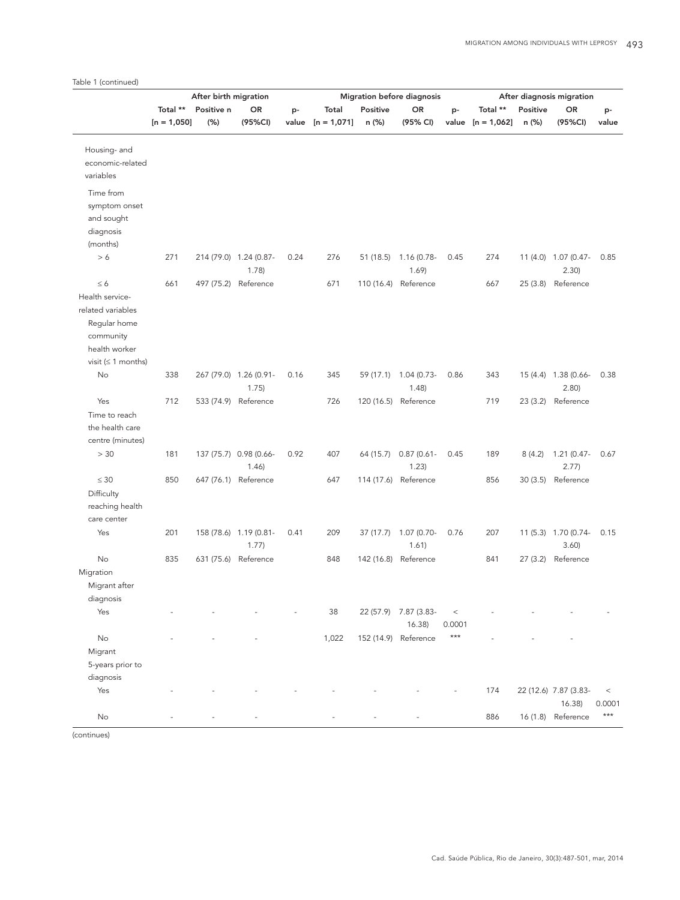|  | Table 1 (continued) |
|--|---------------------|
|--|---------------------|

|                                                                        | After birth migration |            |                                 |       |               |           | Migration before diagnosis     |                 |                     |          | After diagnosis migration      |                 |
|------------------------------------------------------------------------|-----------------------|------------|---------------------------------|-------|---------------|-----------|--------------------------------|-----------------|---------------------|----------|--------------------------------|-----------------|
|                                                                        | Total **              | Positive n | OR                              | p-    | Total         | Positive  | OR                             | p-              | Total **            | Positive | OR                             | p-              |
|                                                                        | $[n = 1,050]$         | $(\% )$    | (95%CI)                         | value | $[n = 1,071]$ | n (%)     | (95% CI)                       |                 | value $[n = 1,062]$ | n (%)    | (95%CI)                        | value           |
| Housing- and<br>economic-related<br>variables                          |                       |            |                                 |       |               |           |                                |                 |                     |          |                                |                 |
| Time from<br>symptom onset<br>and sought<br>diagnosis<br>(months)      |                       |            |                                 |       |               |           |                                |                 |                     |          |                                |                 |
| > 6                                                                    | 271                   |            | 214 (79.0) 1.24 (0.87-<br>1.78  | 0.24  | 276           | 51(18.5)  | 1.16 (0.78-<br>1.69            | 0.45            | 274                 |          | 11 (4.0) 1.07 (0.47-<br>2.30)  | 0.85            |
| $\leq 6$<br>Health service-<br>related variables                       | 661                   |            | 497 (75.2) Reference            |       | 671           |           | 110 (16.4) Reference           |                 | 667                 | 25(3.8)  | Reference                      |                 |
| Regular home<br>community<br>health worker<br>visit ( $\leq 1$ months) |                       |            |                                 |       |               |           |                                |                 |                     |          |                                |                 |
| No                                                                     | 338                   |            | 267 (79.0) 1.26 (0.91-<br>1.75) | 0.16  | 345           | 59 (17.1) | 1.04 (0.73-<br>1.48)           | 0.86            | 343                 |          | 15 (4.4) 1.38 (0.66-<br>2.80   | 0.38            |
| Yes<br>Time to reach<br>the health care<br>centre (minutes)            | 712                   |            | 533 (74.9) Reference            |       | 726           |           | 120 (16.5) Reference           |                 | 719                 |          | 23 (3.2) Reference             |                 |
| > 30                                                                   | 181                   |            | 137 (75.7) 0.98 (0.66-<br>1.46  | 0.92  | 407           | 64 (15.7) | $0.87(0.61 -$<br>1.23          | 0.45            | 189                 |          | 8 (4.2) 1.21 (0.47-<br>2.77)   | 0.67            |
| $\leq 30$<br>Difficulty<br>reaching health<br>care center              | 850                   |            | 647 (76.1) Reference            |       | 647           |           | 114 (17.6) Reference           |                 | 856                 |          | 30 (3.5) Reference             |                 |
| Yes                                                                    | 201                   |            | 158 (78.6) 1.19 (0.81-<br>1.77) | 0.41  | 209           | 37 (17.7) | 1.07 (0.70-<br>1.61)           | 0.76            | 207                 |          | 11 (5.3) 1.70 (0.74-<br>3.60   | 0.15            |
| No<br>Migration                                                        | 835                   |            | 631 (75.6) Reference            |       | 848           |           | 142 (16.8) Reference           |                 | 841                 | 27(3.2)  | Reference                      |                 |
| Migrant after<br>diagnosis                                             |                       |            |                                 |       |               |           |                                |                 |                     |          |                                |                 |
| Yes                                                                    |                       |            |                                 |       | 38            |           | 22 (57.9) 7.87 (3.83-<br>16.38 | $\,<$<br>0.0001 |                     |          |                                |                 |
| No<br>Migrant<br>5-years prior to<br>diagnosis                         |                       |            |                                 |       | 1,022         |           | 152 (14.9) Reference           | $***$           |                     |          |                                |                 |
| Yes                                                                    |                       |            |                                 |       |               |           |                                |                 | 174                 |          | 22 (12.6) 7.87 (3.83-<br>16.38 | $\,<$<br>0.0001 |
| No                                                                     |                       |            |                                 |       |               |           |                                |                 | 886                 |          | 16 (1.8) Reference             | $***$           |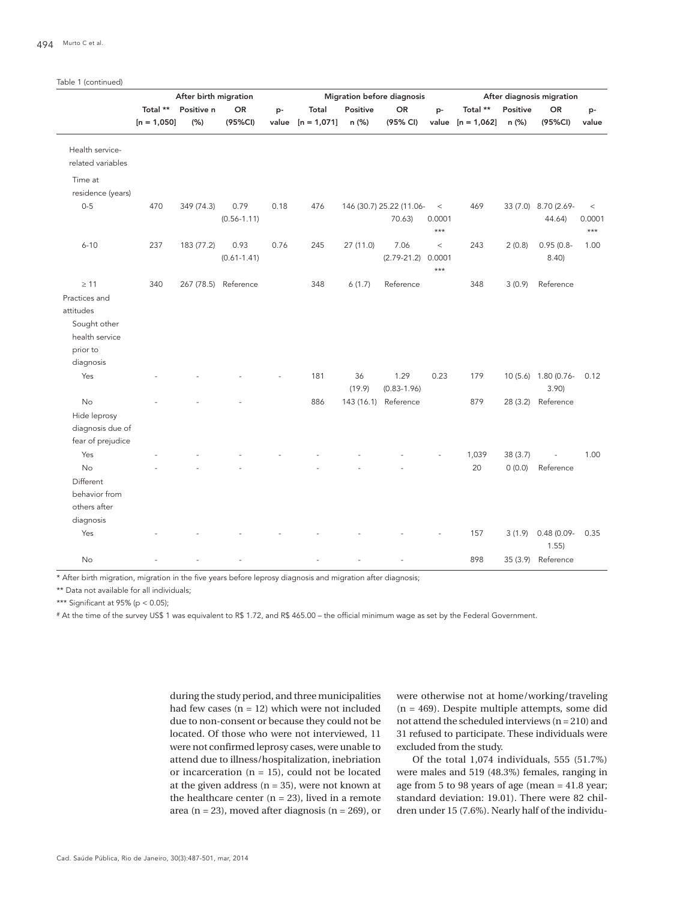|                                                       | After birth migration |            |                         | Migration before diagnosis |                     |              |                                   | After diagnosis migration |                     |          |                                |                          |
|-------------------------------------------------------|-----------------------|------------|-------------------------|----------------------------|---------------------|--------------|-----------------------------------|---------------------------|---------------------|----------|--------------------------------|--------------------------|
|                                                       | Total **              | Positive n | OR                      | p-                         | Total               | Positive     | OR                                | p-                        | Total **            | Positive | <b>OR</b>                      | p-                       |
|                                                       | $[n = 1,050]$         | (% )       | (95%CI)                 |                            | value $[n = 1,071]$ | n (%)        | (95% CI)                          |                           | value $[n = 1,062]$ | n (%)    | (95%CI)                        | value                    |
| Health service-<br>related variables                  |                       |            |                         |                            |                     |              |                                   |                           |                     |          |                                |                          |
| Time at<br>residence (years)                          |                       |            |                         |                            |                     |              |                                   |                           |                     |          |                                |                          |
| $0 - 5$                                               | 470                   | 349 (74.3) | 0.79<br>$(0.56 - 1.11)$ | 0.18                       | 476                 |              | 146 (30.7) 25.22 (11.06-<br>70.63 | $\,<$<br>0.0001<br>$***$  | 469                 |          | 33 (7.0) 8.70 (2.69-<br>44.64) | $\,<$<br>0.0001<br>$***$ |
| $6 - 10$                                              | 237                   | 183 (77.2) | 0.93<br>$(0.61 - 1.41)$ | 0.76                       | 245                 | 27 (11.0)    | 7.06<br>$(2.79 - 21.2)$           | $\,<$<br>0.0001<br>$***$  | 243                 | 2(0.8)   | $0.95(0.8 -$<br>8.40           | 1.00                     |
| $\geq 11$                                             | 340                   |            | 267 (78.5) Reference    |                            | 348                 | 6(1.7)       | Reference                         |                           | 348                 | 3(0.9)   | Reference                      |                          |
| Practices and                                         |                       |            |                         |                            |                     |              |                                   |                           |                     |          |                                |                          |
| attitudes                                             |                       |            |                         |                            |                     |              |                                   |                           |                     |          |                                |                          |
| Sought other                                          |                       |            |                         |                            |                     |              |                                   |                           |                     |          |                                |                          |
| health service                                        |                       |            |                         |                            |                     |              |                                   |                           |                     |          |                                |                          |
| prior to                                              |                       |            |                         |                            |                     |              |                                   |                           |                     |          |                                |                          |
| diagnosis                                             |                       |            |                         |                            |                     |              |                                   |                           |                     |          |                                |                          |
| Yes                                                   |                       |            |                         |                            | 181                 | 36<br>(19.9) | 1.29<br>$(0.83 - 1.96)$           | 0.23                      | 179                 |          | 10 (5.6) 1.80 (0.76-<br>3.90   | 0.12                     |
| No                                                    |                       |            |                         |                            | 886                 | 143 (16.1)   | Reference                         |                           | 879                 | 28 (3.2) | Reference                      |                          |
| Hide leprosy<br>diagnosis due of<br>fear of prejudice |                       |            |                         |                            |                     |              |                                   |                           |                     |          |                                |                          |
| Yes                                                   |                       |            |                         |                            |                     |              |                                   |                           | 1,039               | 38(3.7)  | $\overline{a}$                 | 1.00                     |
| No                                                    |                       |            |                         |                            |                     |              |                                   |                           | 20                  | 0(0.0)   | Reference                      |                          |
| Different                                             |                       |            |                         |                            |                     |              |                                   |                           |                     |          |                                |                          |
| behavior from                                         |                       |            |                         |                            |                     |              |                                   |                           |                     |          |                                |                          |
| others after                                          |                       |            |                         |                            |                     |              |                                   |                           |                     |          |                                |                          |
| diagnosis                                             |                       |            |                         |                            |                     |              |                                   |                           |                     |          |                                |                          |
| Yes                                                   |                       |            |                         |                            |                     |              |                                   |                           | 157                 | 3(1.9)   | 0.48 (0.09-<br>1.55)           | 0.35                     |
| No                                                    |                       |            |                         |                            |                     |              |                                   |                           | 898                 | 35 (3.9) | Reference                      |                          |

\* After birth migration, migration in the five years before leprosy diagnosis and migration after diagnosis;

\*\* Data not available for all individuals;

\*\*\* Significant at  $95\%$  (p < 0.05);

# At the time of the survey US\$ 1 was equivalent to R\$ 1.72, and R\$ 465.00 – the official minimum wage as set by the Federal Government.

during the study period, and three municipalities had few cases  $(n = 12)$  which were not included due to non-consent or because they could not be located. Of those who were not interviewed, 11 were not confirmed leprosy cases, were unable to attend due to illness/hospitalization, inebriation or incarceration (n = 15), could not be located at the given address  $(n = 35)$ , were not known at the healthcare center  $(n = 23)$ , lived in a remote area (n = 23), moved after diagnosis (n = 269), or

were otherwise not at home/working/traveling  $(n = 469)$ . Despite multiple attempts, some did not attend the scheduled interviews (n = 210) and 31 refused to participate. These individuals were excluded from the study.

Of the total 1,074 individuals, 555 (51.7%) were males and 519 (48.3%) females, ranging in age from 5 to 98 years of age (mean = 41.8 year; standard deviation: 19.01). There were 82 children under 15 (7.6%). Nearly half of the individu-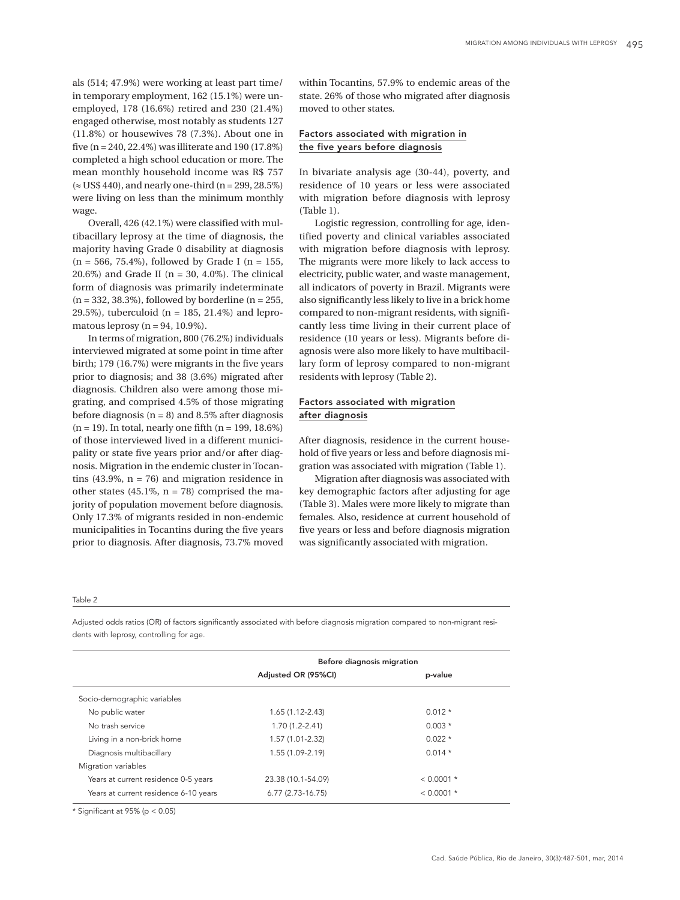als (514; 47.9%) were working at least part time/ in temporary employment, 162 (15.1%) were unemployed, 178 (16.6%) retired and 230 (21.4%) engaged otherwise, most notably as students 127 (11.8%) or housewives 78 (7.3%). About one in five  $(n = 240, 22.4\%)$  was illiterate and 190 (17.8%) completed a high school education or more. The mean monthly household income was R\$ 757  $(\approx$  US\$ 440), and nearly one-third (n = 299, 28.5%) were living on less than the minimum monthly wage.

Overall, 426 (42.1%) were classified with multibacillary leprosy at the time of diagnosis, the majority having Grade 0 disability at diagnosis  $(n = 566, 75.4\%)$ , followed by Grade I  $(n = 155,$ 20.6%) and Grade II ( $n = 30, 4.0$ %). The clinical form of diagnosis was primarily indeterminate  $(n = 332, 38.3\%)$ , followed by borderline  $(n = 255,$ 29.5%), tuberculoid ( $n = 185, 21.4%$ ) and lepromatous leprosy ( $n = 94$ , 10.9%).

In terms of migration, 800 (76.2%) individuals interviewed migrated at some point in time after birth; 179 (16.7%) were migrants in the five years prior to diagnosis; and 38 (3.6%) migrated after diagnosis. Children also were among those migrating, and comprised 4.5% of those migrating before diagnosis ( $n = 8$ ) and 8.5% after diagnosis  $(n = 19)$ . In total, nearly one fifth  $(n = 199, 18.6\%)$ of those interviewed lived in a different municipality or state five years prior and/or after diagnosis. Migration in the endemic cluster in Tocantins  $(43.9\%, n = 76)$  and migration residence in other states (45.1%,  $n = 78$ ) comprised the majority of population movement before diagnosis. Only 17.3% of migrants resided in non-endemic municipalities in Tocantins during the five years prior to diagnosis. After diagnosis, 73.7% moved

within Tocantins, 57.9% to endemic areas of the state. 26% of those who migrated after diagnosis moved to other states.

## Factors associated with migration in the five years before diagnosis

In bivariate analysis age (30-44), poverty, and residence of 10 years or less were associated with migration before diagnosis with leprosy (Table 1).

Logistic regression, controlling for age, identified poverty and clinical variables associated with migration before diagnosis with leprosy. The migrants were more likely to lack access to electricity, public water, and waste management, all indicators of poverty in Brazil. Migrants were also significantly less likely to live in a brick home compared to non-migrant residents, with significantly less time living in their current place of residence (10 years or less). Migrants before diagnosis were also more likely to have multibacillary form of leprosy compared to non-migrant residents with leprosy (Table 2).

## Factors associated with migration after diagnosis

After diagnosis, residence in the current household of five years or less and before diagnosis migration was associated with migration (Table 1).

Migration after diagnosis was associated with key demographic factors after adjusting for age (Table 3). Males were more likely to migrate than females. Also, residence at current household of five years or less and before diagnosis migration was significantly associated with migration.

Table 2

Adjusted odds ratios (OR) of factors significantly associated with before diagnosis migration compared to non-migrant residents with leprosy, controlling for age.

|                                       | Before diagnosis migration |              |
|---------------------------------------|----------------------------|--------------|
|                                       | Adjusted OR (95%CI)        | p-value      |
| Socio-demographic variables           |                            |              |
| No public water                       | $1.65(1.12 - 2.43)$        | $0.012*$     |
| No trash service                      | $1.70(1.2 - 2.41)$         | $0.003*$     |
| Living in a non-brick home            | 1.57 (1.01-2.32)           | $0.022*$     |
| Diagnosis multibacillary              | 1.55 (1.09-2.19)           | $0.014*$     |
| Migration variables                   |                            |              |
| Years at current residence 0-5 years  | 23.38 (10.1-54.09)         | $< 0.0001$ * |
| Years at current residence 6-10 years | $6.77(2.73-16.75)$         | $< 0.0001$ * |

\* Significant at 95% (p < 0.05)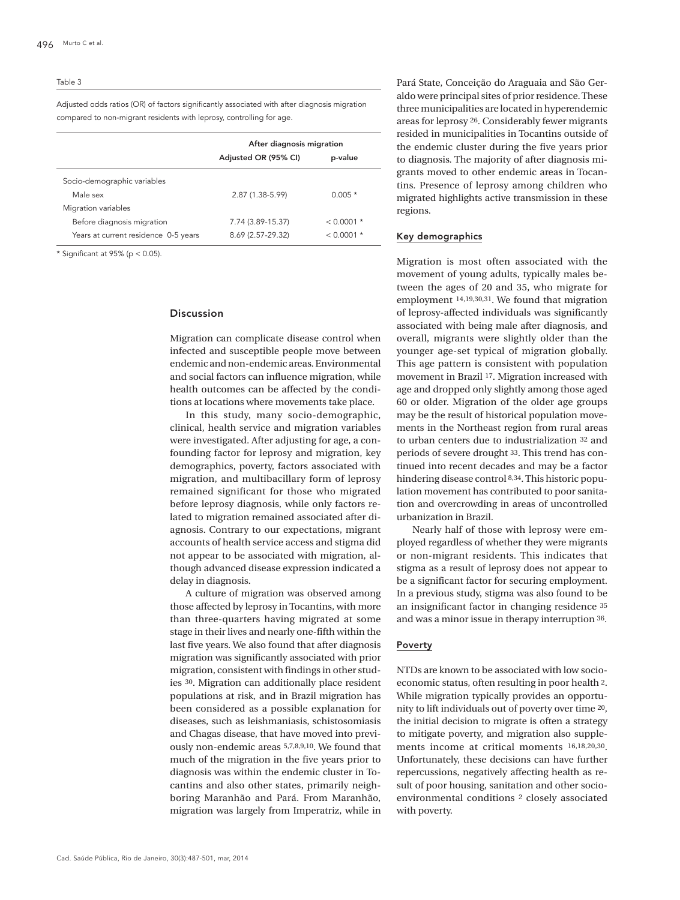#### Table 3

Adjusted odds ratios (OR) of factors significantly associated with after diagnosis migration compared to non-migrant residents with leprosy, controlling for age.

|                                      | After diagnosis migration |              |  |  |  |  |
|--------------------------------------|---------------------------|--------------|--|--|--|--|
|                                      | Adjusted OR (95% CI)      | p-value      |  |  |  |  |
| Socio-demographic variables          |                           |              |  |  |  |  |
| Male sex                             | 2.87 (1.38-5.99)          | $0.005 *$    |  |  |  |  |
| Migration variables                  |                           |              |  |  |  |  |
| Before diagnosis migration           | 7.74 (3.89-15.37)         | $< 0.0001$ * |  |  |  |  |
| Years at current residence 0-5 years | 8.69 (2.57-29.32)         | $< 0.0001$ * |  |  |  |  |

\* Significant at 95% ( $p < 0.05$ ).

### **Discussion**

Migration can complicate disease control when infected and susceptible people move between endemic and non-endemic areas. Environmental and social factors can influence migration, while health outcomes can be affected by the conditions at locations where movements take place.

In this study, many socio-demographic, clinical, health service and migration variables were investigated. After adjusting for age, a confounding factor for leprosy and migration, key demographics, poverty, factors associated with migration, and multibacillary form of leprosy remained significant for those who migrated before leprosy diagnosis, while only factors related to migration remained associated after diagnosis. Contrary to our expectations, migrant accounts of health service access and stigma did not appear to be associated with migration, although advanced disease expression indicated a delay in diagnosis.

A culture of migration was observed among those affected by leprosy in Tocantins, with more than three-quarters having migrated at some stage in their lives and nearly one-fifth within the last five years. We also found that after diagnosis migration was significantly associated with prior migration, consistent with findings in other studies 30. Migration can additionally place resident populations at risk, and in Brazil migration has been considered as a possible explanation for diseases, such as leishmaniasis, schistosomiasis and Chagas disease, that have moved into previously non-endemic areas 5,7,8,9,10. We found that much of the migration in the five years prior to diagnosis was within the endemic cluster in Tocantins and also other states, primarily neighboring Maranhão and Pará. From Maranhão, migration was largely from Imperatriz, while in

Pará State, Conceição do Araguaia and São Geraldo were principal sites of prior residence. These three municipalities are located in hyperendemic areas for leprosy 26. Considerably fewer migrants resided in municipalities in Tocantins outside of the endemic cluster during the five years prior to diagnosis. The majority of after diagnosis migrants moved to other endemic areas in Tocantins. Presence of leprosy among children who migrated highlights active transmission in these regions.

### Key demographics

Migration is most often associated with the movement of young adults, typically males between the ages of 20 and 35, who migrate for employment 14,19,30,31. We found that migration of leprosy-affected individuals was significantly associated with being male after diagnosis, and overall, migrants were slightly older than the younger age-set typical of migration globally. This age pattern is consistent with population movement in Brazil 17. Migration increased with age and dropped only slightly among those aged 60 or older. Migration of the older age groups may be the result of historical population movements in the Northeast region from rural areas to urban centers due to industrialization 32 and periods of severe drought 33. This trend has continued into recent decades and may be a factor hindering disease control 8,34. This historic population movement has contributed to poor sanitation and overcrowding in areas of uncontrolled urbanization in Brazil.

Nearly half of those with leprosy were employed regardless of whether they were migrants or non-migrant residents. This indicates that stigma as a result of leprosy does not appear to be a significant factor for securing employment. In a previous study, stigma was also found to be an insignificant factor in changing residence 35 and was a minor issue in therapy interruption 36.

### Poverty

NTDs are known to be associated with low socioeconomic status, often resulting in poor health 2. While migration typically provides an opportunity to lift individuals out of poverty over time 20, the initial decision to migrate is often a strategy to mitigate poverty, and migration also supplements income at critical moments 16,18,20,30. Unfortunately, these decisions can have further repercussions, negatively affecting health as result of poor housing, sanitation and other socioenvironmental conditions 2 closely associated with poverty.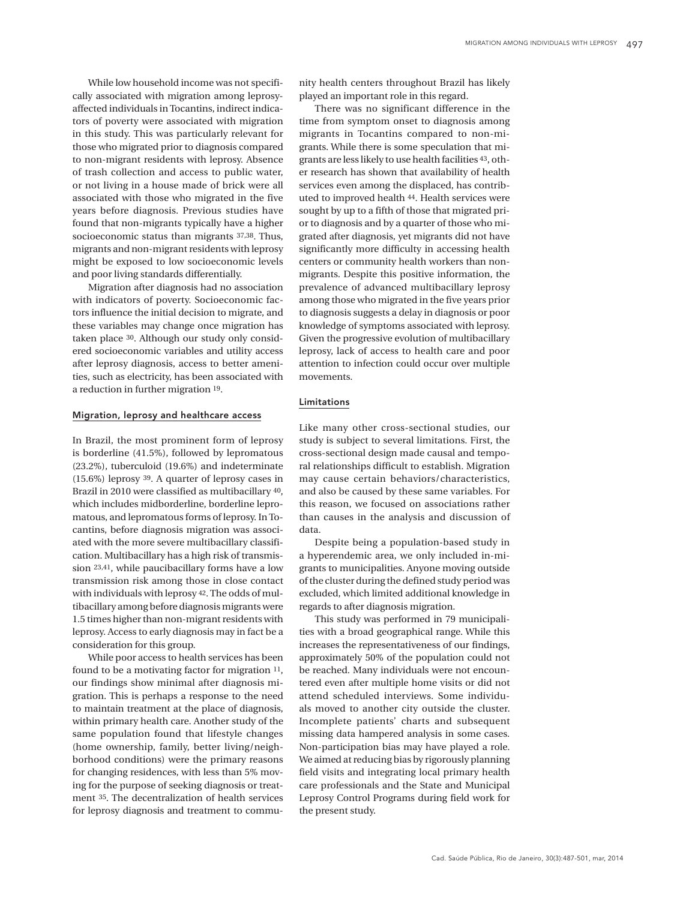While low household income was not specifically associated with migration among leprosyaffected individuals in Tocantins, indirect indicators of poverty were associated with migration in this study. This was particularly relevant for those who migrated prior to diagnosis compared to non-migrant residents with leprosy. Absence of trash collection and access to public water, or not living in a house made of brick were all associated with those who migrated in the five years before diagnosis. Previous studies have found that non-migrants typically have a higher socioeconomic status than migrants 37,38. Thus, migrants and non-migrant residents with leprosy might be exposed to low socioeconomic levels and poor living standards differentially.

Migration after diagnosis had no association with indicators of poverty. Socioeconomic factors influence the initial decision to migrate, and these variables may change once migration has taken place 30. Although our study only considered socioeconomic variables and utility access after leprosy diagnosis, access to better amenities, such as electricity, has been associated with a reduction in further migration 19.

## Migration, leprosy and healthcare access

In Brazil, the most prominent form of leprosy is borderline (41.5%), followed by lepromatous (23.2%), tuberculoid (19.6%) and indeterminate (15.6%) leprosy 39. A quarter of leprosy cases in Brazil in 2010 were classified as multibacillary 40, which includes midborderline, borderline lepromatous, and lepromatous forms of leprosy. In Tocantins, before diagnosis migration was associated with the more severe multibacillary classification. Multibacillary has a high risk of transmission 23,41, while paucibacillary forms have a low transmission risk among those in close contact with individuals with leprosy 42. The odds of multibacillary among before diagnosis migrants were 1.5 times higher than non-migrant residents with leprosy. Access to early diagnosis may in fact be a consideration for this group.

While poor access to health services has been found to be a motivating factor for migration 11, our findings show minimal after diagnosis migration. This is perhaps a response to the need to maintain treatment at the place of diagnosis, within primary health care. Another study of the same population found that lifestyle changes (home ownership, family, better living/neighborhood conditions) were the primary reasons for changing residences, with less than 5% moving for the purpose of seeking diagnosis or treatment 35. The decentralization of health services for leprosy diagnosis and treatment to community health centers throughout Brazil has likely played an important role in this regard.

There was no significant difference in the time from symptom onset to diagnosis among migrants in Tocantins compared to non-migrants. While there is some speculation that migrants are less likely to use health facilities 43, other research has shown that availability of health services even among the displaced, has contributed to improved health 44. Health services were sought by up to a fifth of those that migrated prior to diagnosis and by a quarter of those who migrated after diagnosis, yet migrants did not have significantly more difficulty in accessing health centers or community health workers than nonmigrants. Despite this positive information, the prevalence of advanced multibacillary leprosy among those who migrated in the five years prior to diagnosis suggests a delay in diagnosis or poor knowledge of symptoms associated with leprosy. Given the progressive evolution of multibacillary leprosy, lack of access to health care and poor attention to infection could occur over multiple movements.

#### Limitations

Like many other cross-sectional studies, our study is subject to several limitations. First, the cross-sectional design made causal and temporal relationships difficult to establish. Migration may cause certain behaviors/characteristics, and also be caused by these same variables. For this reason, we focused on associations rather than causes in the analysis and discussion of data.

Despite being a population-based study in a hyperendemic area, we only included in-migrants to municipalities. Anyone moving outside of the cluster during the defined study period was excluded, which limited additional knowledge in regards to after diagnosis migration.

This study was performed in 79 municipalities with a broad geographical range. While this increases the representativeness of our findings, approximately 50% of the population could not be reached. Many individuals were not encountered even after multiple home visits or did not attend scheduled interviews. Some individuals moved to another city outside the cluster. Incomplete patients' charts and subsequent missing data hampered analysis in some cases. Non-participation bias may have played a role. We aimed at reducing bias by rigorously planning field visits and integrating local primary health care professionals and the State and Municipal Leprosy Control Programs during field work for the present study.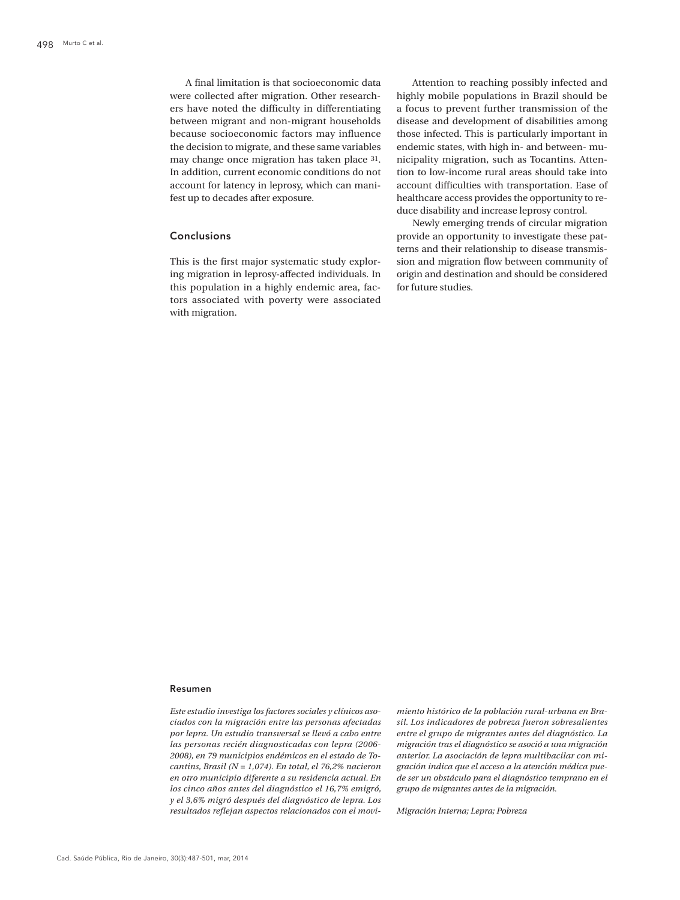A final limitation is that socioeconomic data were collected after migration. Other researchers have noted the difficulty in differentiating between migrant and non-migrant households because socioeconomic factors may influence the decision to migrate, and these same variables may change once migration has taken place 31. In addition, current economic conditions do not account for latency in leprosy, which can manifest up to decades after exposure.

## Conclusions

This is the first major systematic study exploring migration in leprosy-affected individuals. In this population in a highly endemic area, factors associated with poverty were associated with migration.

Attention to reaching possibly infected and highly mobile populations in Brazil should be a focus to prevent further transmission of the disease and development of disabilities among those infected. This is particularly important in endemic states, with high in- and between- municipality migration, such as Tocantins. Attention to low-income rural areas should take into account difficulties with transportation. Ease of healthcare access provides the opportunity to reduce disability and increase leprosy control.

Newly emerging trends of circular migration provide an opportunity to investigate these patterns and their relationship to disease transmission and migration flow between community of origin and destination and should be considered for future studies.

#### Resumen

*Este estudio investiga los factores sociales y clínicos asociados con la migración entre las personas afectadas por lepra. Un estudio transversal se llevó a cabo entre las personas recién diagnosticadas con lepra (2006- 2008), en 79 municipios endémicos en el estado de Tocantins, Brasil (N = 1,074). En total, el 76,2% nacieron en otro municipio diferente a su residencia actual. En los cinco años antes del diagnóstico el 16,7% emigró, y el 3,6% migró después del diagnóstico de lepra. Los resultados reflejan aspectos relacionados con el movi-*

*miento histórico de la población rural-urbana en Brasil. Los indicadores de pobreza fueron sobresalientes entre el grupo de migrantes antes del diagnóstico. La migración tras el diagnóstico se asoció a una migración anterior. La asociación de lepra multibacilar con migración indica que el acceso a la atención médica puede ser un obstáculo para el diagnóstico temprano en el grupo de migrantes antes de la migración.*

*Migración Interna; Lepra; Pobreza*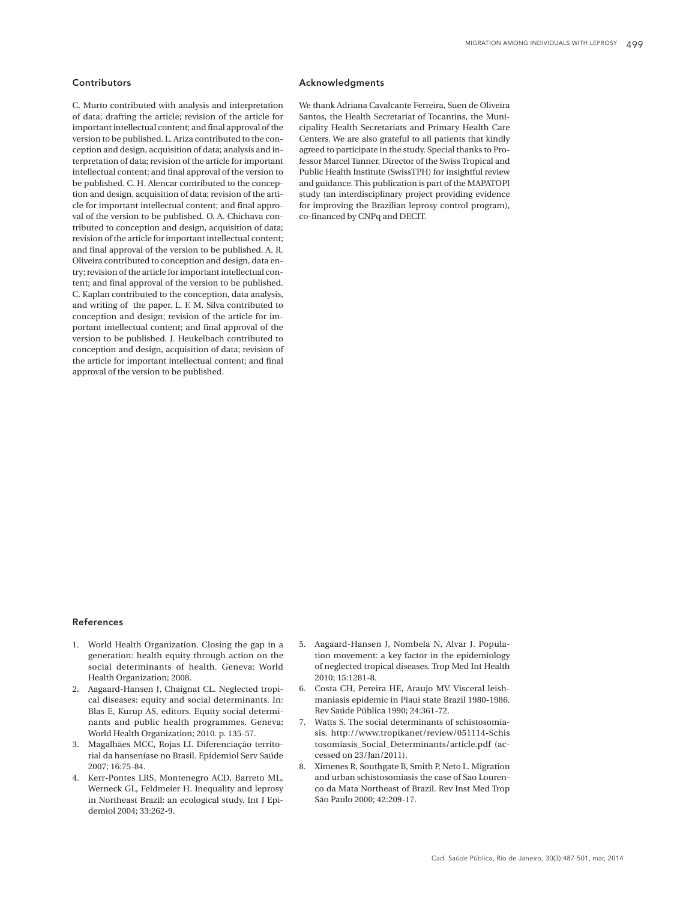#### Contributors

C. Murto contributed with analysis and interpretation of data; drafting the article; revision of the article for important intellectual content; and final approval of the version to be published. L. Ariza contributed to the conception and design, acquisition of data; analysis and interpretation of data; revision of the article for important intellectual content; and final approval of the version to be published. C. H. Alencar contributed to the conception and design, acquisition of data; revision of the article for important intellectual content; and final approval of the version to be published. O. A. Chichava contributed to conception and design, acquisition of data; revision of the article for important intellectual content; and final approval of the version to be published. A. R. Oliveira contributed to conception and design, data entry; revision of the article for important intellectual content; and final approval of the version to be published. C. Kaplan contributed to the conception, data analysis, and writing of the paper. L. F. M. Silva contributed to conception and design; revision of the article for important intellectual content; and final approval of the version to be published. J. Heukelbach contributed to conception and design, acquisition of data; revision of the article for important intellectual content; and final approval of the version to be published.

## Acknowledgments

We thank Adriana Cavalcante Ferreira, Suen de Oliveira Santos, the Health Secretariat of Tocantins, the Municipality Health Secretariats and Primary Health Care Centers. We are also grateful to all patients that kindly agreed to participate in the study. Special thanks to Professor Marcel Tanner, Director of the Swiss Tropical and Public Health Institute (SwissTPH) for insightful review and guidance. This publication is part of the MAPATOPI study (an interdisciplinary project providing evidence for improving the Brazilian leprosy control program), co-financed by CNPq and DECIT.

### References

- 1. World Health Organization. Closing the gap in a generation: health equity through action on the social determinants of health. Geneva: World Health Organization; 2008.
- 2. Aagaard-Hansen J, Chaignat CL. Neglected tropical diseases: equity and social determinants. In: Blas E, Kurup AS, editors. Equity social determinants and public health programmes. Geneva: World Health Organization; 2010. p. 135-57.
- 3. Magalhães MCC, Rojas LI. Diferenciação territorial da hanseníase no Brasil. Epidemiol Serv Saúde 2007; 16:75-84.
- 4. Kerr-Pontes LRS, Montenegro ACD, Barreto ML, Werneck GL, Feldmeier H. Inequality and leprosy in Northeast Brazil: an ecological study. Int J Epidemiol 2004; 33:262-9.
- 5. Aagaard-Hansen J, Nombela N, Alvar J. Population movement: a key factor in the epidemiology of neglected tropical diseases. Trop Med Int Health 2010; 15:1281-8.
- 6. Costa CH, Pereira HE, Araujo MV. Visceral leishmaniasis epidemic in Piaui state Brazil 1980-1986. Rev Saúde Pública 1990; 24:361-72.
- 7. Watts S. The social determinants of schistosomiasis. http://www.tropikanet/review/051114-Schis tosomiasis\_Social\_Determinants/article.pdf (accessed on 23/Jan/2011).
- 8. Ximenes R, Southgate B, Smith P, Neto L. Migration and urban schistosomiasis the case of Sao Lourenco da Mata Northeast of Brazil. Rev Inst Med Trop São Paulo 2000; 42:209-17.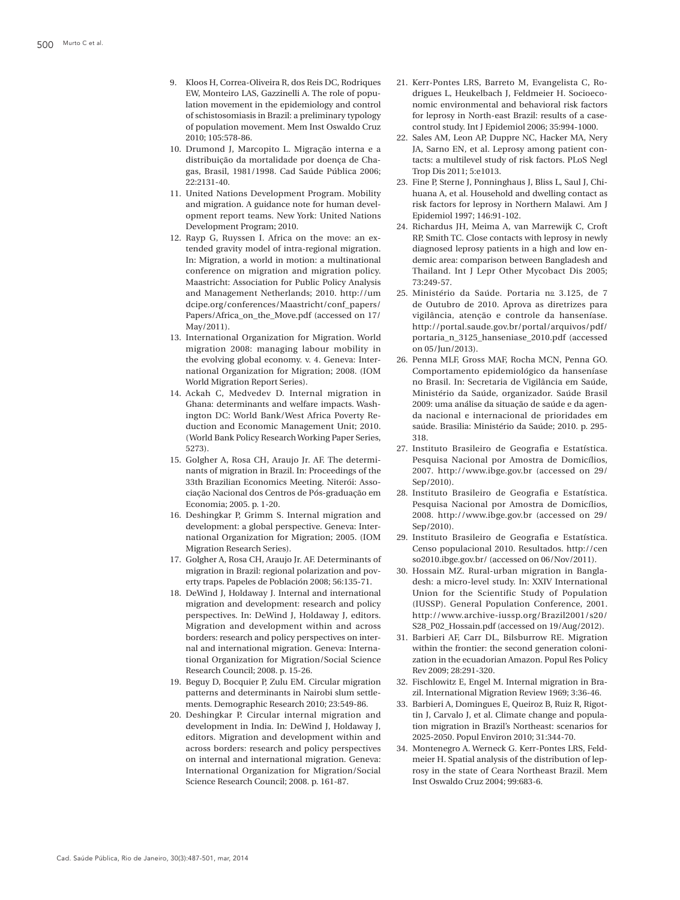- 9. Kloos H, Correa-Oliveira R, dos Reis DC, Rodriques EW, Monteiro LAS, Gazzinelli A. The role of population movement in the epidemiology and control of schistosomiasis in Brazil: a preliminary typology of population movement. Mem Inst Oswaldo Cruz 2010; 105:578-86.
- 10. Drumond J, Marcopito L. Migração interna e a distribuição da mortalidade por doença de Chagas, Brasil, 1981/1998. Cad Saúde Pública 2006; 22:2131-40.
- 11. United Nations Development Program. Mobility and migration. A guidance note for human development report teams. New York: United Nations Development Program; 2010.
- 12. Rayp G, Ruyssen I. Africa on the move: an extended gravity model of intra-regional migration. In: Migration, a world in motion: a multinational conference on migration and migration policy. Maastricht: Association for Public Policy Analysis and Management Netherlands; 2010. http://um dcipe.org/conferences/Maastricht/conf\_papers/ Papers/Africa\_on\_the\_Move.pdf (accessed on 17/ May/2011).
- 13. International Organization for Migration. World migration 2008: managing labour mobility in the evolving global economy. v. 4. Geneva: International Organization for Migration; 2008. (IOM World Migration Report Series).
- 14. Ackah C, Medvedev D. Internal migration in Ghana: determinants and welfare impacts. Washington DC: World Bank/West Africa Poverty Reduction and Economic Management Unit; 2010. (World Bank Policy Research Working Paper Series, 5273).
- 15. Golgher A, Rosa CH, Araujo Jr. AF. The determinants of migration in Brazil. In: Proceedings of the 33th Brazilian Economics Meeting. Niterói: Associação Nacional dos Centros de Pós-graduação em Economia; 2005. p. 1-20.
- 16. Deshingkar P, Grimm S. Internal migration and development: a global perspective. Geneva: International Organization for Migration; 2005. (IOM Migration Research Series).
- 17. Golgher A, Rosa CH, Araujo Jr. AF. Determinants of migration in Brazil: regional polarization and poverty traps. Papeles de Población 2008; 56:135-71.
- 18. DeWind J, Holdaway J. Internal and international migration and development: research and policy perspectives. In: DeWind J, Holdaway J, editors. Migration and development within and across borders: research and policy perspectives on internal and international migration. Geneva: International Organization for Migration/Social Science Research Council; 2008. p. 15-26.
- 19. Beguy D, Bocquier P, Zulu EM. Circular migration patterns and determinants in Nairobi slum settlements. Demographic Research 2010; 23:549-86.
- 20. Deshingkar P. Circular internal migration and development in India. In: DeWind J, Holdaway J, editors. Migration and development within and across borders: research and policy perspectives on internal and international migration. Geneva: International Organization for Migration/Social Science Research Council; 2008. p. 161-87.
- 21. Kerr-Pontes LRS, Barreto M, Evangelista C, Rodrigues L, Heukelbach J, Feldmeier H. Socioeconomic environmental and behavioral risk factors for leprosy in North-east Brazil: results of a casecontrol study. Int J Epidemiol 2006; 35:994-1000.
- 22. Sales AM, Leon AP, Duppre NC, Hacker MA, Nery JA, Sarno EN, et al. Leprosy among patient contacts: a multilevel study of risk factors. PLoS Negl Trop Dis 2011; 5:e1013.
- 23. Fine P, Sterne J, Ponninghaus J, Bliss L, Saul J, Chihuana A, et al. Household and dwelling contact as risk factors for leprosy in Northern Malawi. Am J Epidemiol 1997; 146:91-102.
- 24. Richardus JH, Meima A, van Marrewijk C, Croft RP, Smith TC. Close contacts with leprosy in newly diagnosed leprosy patients in a high and low endemic area: comparison between Bangladesh and Thailand. Int J Lepr Other Mycobact Dis 2005; 73:249-57.
- 25. Ministério da Saúde. Portaria nº 3.125, de 7 de Outubro de 2010. Aprova as diretrizes para vigilância, atenção e controle da hanseníase. http://portal.saude.gov.br/portal/arquivos/pdf/ portaria\_n\_3125\_hanseniase\_2010.pdf (accessed on 05/Jun/2013).
- 26. Penna MLF, Gross MAF, Rocha MCN, Penna GO. Comportamento epidemiológico da hanseníase no Brasil. In: Secretaria de Vigilância em Saúde, Ministério da Saúde, organizador. Saúde Brasil 2009: uma análise da situação de saúde e da agenda nacional e internacional de prioridades em saúde. Brasilia: Ministério da Saúde; 2010. p. 295- 318.
- 27. Instituto Brasileiro de Geografia e Estatística. Pesquisa Nacional por Amostra de Domicílios, 2007. http://www.ibge.gov.br (accessed on 29/ Sep/2010).
- 28. Instituto Brasileiro de Geografia e Estatística. Pesquisa Nacional por Amostra de Domicílios, 2008. http://www.ibge.gov.br (accessed on 29/ Sep/2010).
- 29. Instituto Brasileiro de Geografia e Estatística. Censo populacional 2010. Resultados. http://cen so2010.ibge.gov.br/ (accessed on 06/Nov/2011).
- 30. Hossain MZ. Rural-urban migration in Bangladesh: a micro-level study. In: XXIV International Union for the Scientific Study of Population (IUSSP). General Population Conference, 2001. http://www.archive-iussp.org/Brazil2001/s20/ S28\_P02\_Hossain.pdf (accessed on 19/Aug/2012).
- 31. Barbieri AF, Carr DL, Bilsburrow RE. Migration within the frontier: the second generation colonization in the ecuadorian Amazon. Popul Res Policy Rev 2009; 28:291-320.
- 32. Fischlowitz E, Engel M. Internal migration in Brazil. International Migration Review 1969; 3:36-46.
- 33. Barbieri A, Domingues E, Queiroz B, Ruiz R, Rigottin J, Carvalo J, et al. Climate change and population migration in Brazil's Northeast: scenarios for 2025-2050. Popul Environ 2010; 31:344-70.
- 34. Montenegro A. Werneck G. Kerr-Pontes LRS, Feldmeier H. Spatial analysis of the distribution of leprosy in the state of Ceara Northeast Brazil. Mem Inst Oswaldo Cruz 2004; 99:683-6.